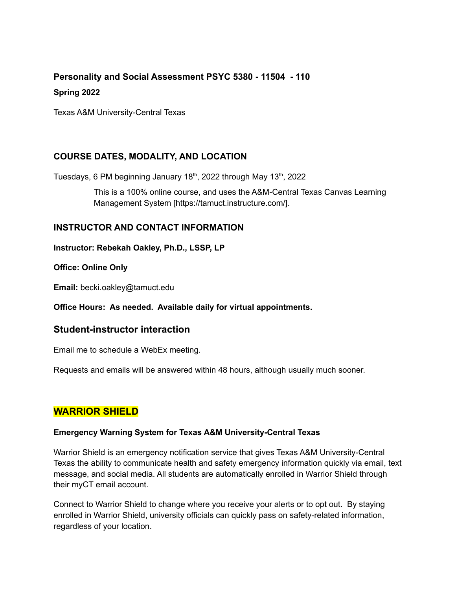## **Personality and Social Assessment PSYC 5380 - 11504 - 110**

### **Spring 2022**

Texas A&M University-Central Texas

## **COURSE DATES, MODALITY, AND LOCATION**

Tuesdays, 6 PM beginning January 18<sup>th</sup>, 2022 through May 13<sup>th</sup>, 2022

This is a 100% online course, and uses the A&M-Central Texas Canvas Learning Management System [https://tamuct.instructure.com/].

## **INSTRUCTOR AND CONTACT INFORMATION**

**Instructor: Rebekah Oakley, Ph.D., LSSP, LP**

**Office: Online Only**

**Email:** becki.oakley@tamuct.edu

#### **Office Hours: As needed. Available daily for virtual appointments.**

## **Student-instructor interaction**

Email me to schedule a WebEx meeting.

Requests and emails will be answered within 48 hours, although usually much sooner.

## **WARRIOR SHIELD**

#### **Emergency Warning System for Texas A&M University-Central Texas**

Warrior Shield is an emergency notification service that gives Texas A&M University-Central Texas the ability to communicate health and safety emergency information quickly via email, text message, and social media. All students are automatically enrolled in Warrior Shield through their myCT email account.

Connect to Warrior Shield to change where you receive your alerts or to opt out. By staying enrolled in Warrior Shield, university officials can quickly pass on safety-related information, regardless of your location.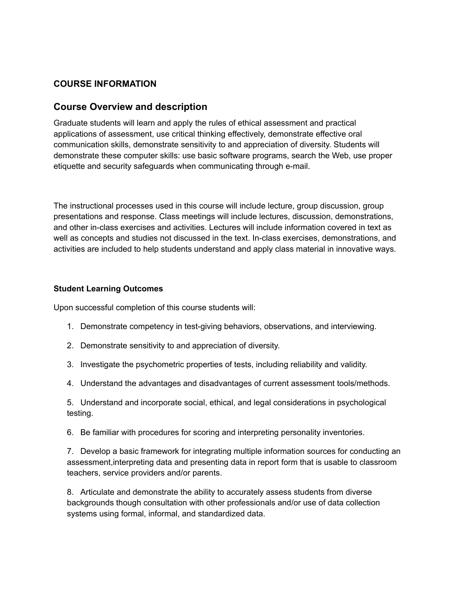### **COURSE INFORMATION**

## **Course Overview and description**

Graduate students will learn and apply the rules of ethical assessment and practical applications of assessment, use critical thinking effectively, demonstrate effective oral communication skills, demonstrate sensitivity to and appreciation of diversity. Students will demonstrate these computer skills: use basic software programs, search the Web, use proper etiquette and security safeguards when communicating through e-mail.

The instructional processes used in this course will include lecture, group discussion, group presentations and response. Class meetings will include lectures, discussion, demonstrations, and other in-class exercises and activities. Lectures will include information covered in text as well as concepts and studies not discussed in the text. In-class exercises, demonstrations, and activities are included to help students understand and apply class material in innovative ways.

#### **Student Learning Outcomes**

Upon successful completion of this course students will:

- 1. Demonstrate competency in test-giving behaviors, observations, and interviewing.
- 2. Demonstrate sensitivity to and appreciation of diversity.
- 3. Investigate the psychometric properties of tests, including reliability and validity.
- 4. Understand the advantages and disadvantages of current assessment tools/methods.

5. Understand and incorporate social, ethical, and legal considerations in psychological testing.

6. Be familiar with procedures for scoring and interpreting personality inventories.

7. Develop a basic framework for integrating multiple information sources for conducting an assessment,interpreting data and presenting data in report form that is usable to classroom teachers, service providers and/or parents.

8. Articulate and demonstrate the ability to accurately assess students from diverse backgrounds though consultation with other professionals and/or use of data collection systems using formal, informal, and standardized data.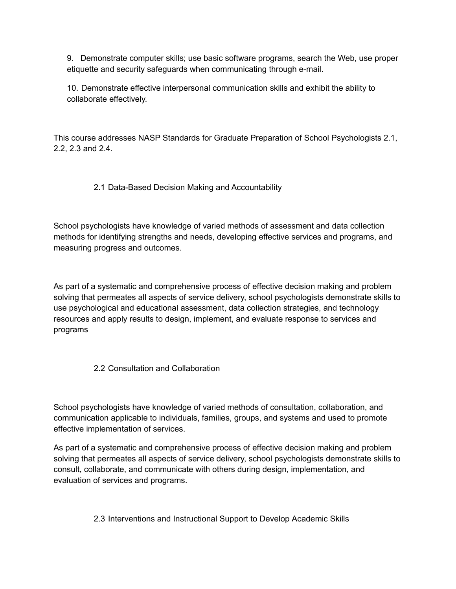9. Demonstrate computer skills; use basic software programs, search the Web, use proper etiquette and security safeguards when communicating through e-mail.

10. Demonstrate effective interpersonal communication skills and exhibit the ability to collaborate effectively.

This course addresses NASP Standards for Graduate Preparation of School Psychologists 2.1, 2.2, 2.3 and 2.4.

2.1 Data-Based Decision Making and Accountability

School psychologists have knowledge of varied methods of assessment and data collection methods for identifying strengths and needs, developing effective services and programs, and measuring progress and outcomes.

As part of a systematic and comprehensive process of effective decision making and problem solving that permeates all aspects of service delivery, school psychologists demonstrate skills to use psychological and educational assessment, data collection strategies, and technology resources and apply results to design, implement, and evaluate response to services and programs

2.2 Consultation and Collaboration

School psychologists have knowledge of varied methods of consultation, collaboration, and communication applicable to individuals, families, groups, and systems and used to promote effective implementation of services.

As part of a systematic and comprehensive process of effective decision making and problem solving that permeates all aspects of service delivery, school psychologists demonstrate skills to consult, collaborate, and communicate with others during design, implementation, and evaluation of services and programs.

2.3 Interventions and Instructional Support to Develop Academic Skills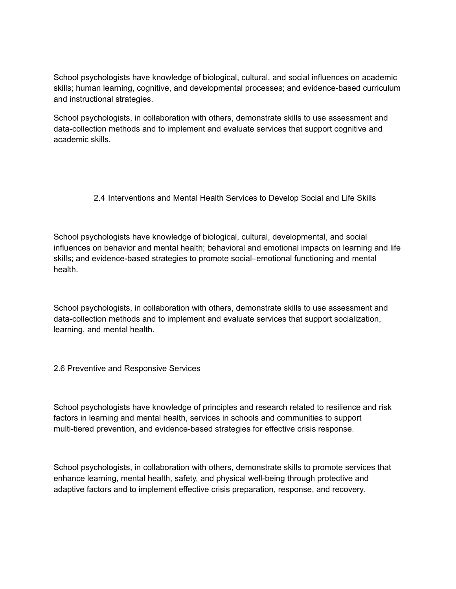School psychologists have knowledge of biological, cultural, and social influences on academic skills; human learning, cognitive, and developmental processes; and evidence-based curriculum and instructional strategies.

School psychologists, in collaboration with others, demonstrate skills to use assessment and data-collection methods and to implement and evaluate services that support cognitive and academic skills.

2.4 Interventions and Mental Health Services to Develop Social and Life Skills

School psychologists have knowledge of biological, cultural, developmental, and social influences on behavior and mental health; behavioral and emotional impacts on learning and life skills; and evidence-based strategies to promote social–emotional functioning and mental health.

School psychologists, in collaboration with others, demonstrate skills to use assessment and data-collection methods and to implement and evaluate services that support socialization, learning, and mental health.

2.6 Preventive and Responsive Services

School psychologists have knowledge of principles and research related to resilience and risk factors in learning and mental health, services in schools and communities to support multi-tiered prevention, and evidence-based strategies for effective crisis response.

School psychologists, in collaboration with others, demonstrate skills to promote services that enhance learning, mental health, safety, and physical well-being through protective and adaptive factors and to implement effective crisis preparation, response, and recovery.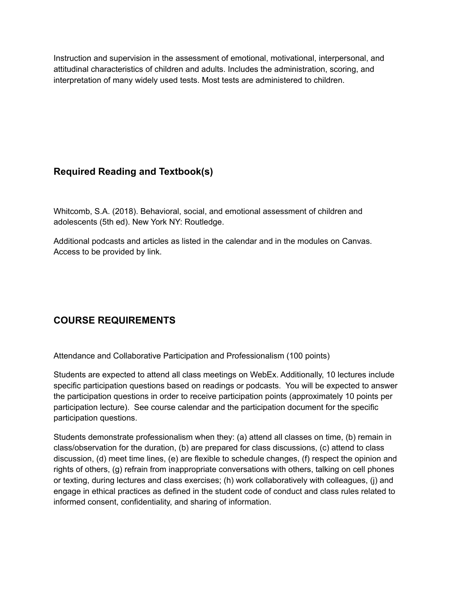Instruction and supervision in the assessment of emotional, motivational, interpersonal, and attitudinal characteristics of children and adults. Includes the administration, scoring, and interpretation of many widely used tests. Most tests are administered to children.

# **Required Reading and Textbook(s)**

Whitcomb, S.A. (2018). Behavioral, social, and emotional assessment of children and adolescents (5th ed). New York NY: Routledge.

Additional podcasts and articles as listed in the calendar and in the modules on Canvas. Access to be provided by link.

# **COURSE REQUIREMENTS**

Attendance and Collaborative Participation and Professionalism (100 points)

Students are expected to attend all class meetings on WebEx. Additionally, 10 lectures include specific participation questions based on readings or podcasts. You will be expected to answer the participation questions in order to receive participation points (approximately 10 points per participation lecture). See course calendar and the participation document for the specific participation questions.

Students demonstrate professionalism when they: (a) attend all classes on time, (b) remain in class/observation for the duration, (b) are prepared for class discussions, (c) attend to class discussion, (d) meet time lines, (e) are flexible to schedule changes, (f) respect the opinion and rights of others, (g) refrain from inappropriate conversations with others, talking on cell phones or texting, during lectures and class exercises; (h) work collaboratively with colleagues, (j) and engage in ethical practices as defined in the student code of conduct and class rules related to informed consent, confidentiality, and sharing of information.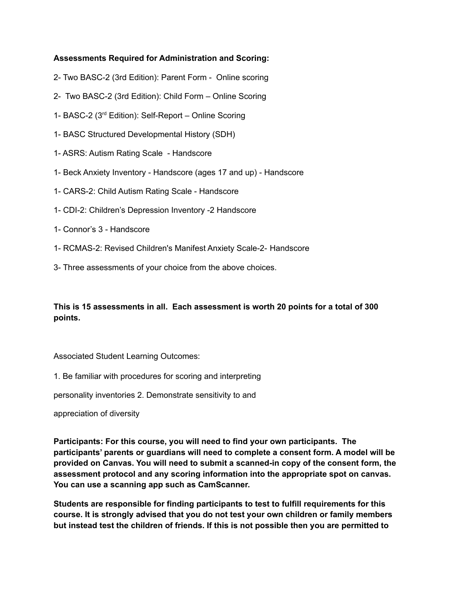#### **Assessments Required for Administration and Scoring:**

- 2- Two BASC-2 (3rd Edition): Parent Form Online scoring
- 2- Two BASC-2 (3rd Edition): Child Form Online Scoring
- 1- BASC-2 (3<sup>rd</sup> Edition): Self-Report Online Scoring
- 1- BASC Structured Developmental History (SDH)
- 1- ASRS: Autism Rating Scale Handscore
- 1- Beck Anxiety Inventory Handscore (ages 17 and up) Handscore
- 1- CARS-2: Child Autism Rating Scale Handscore
- 1- CDI-2: Children's Depression Inventory -2 Handscore
- 1- Connor's 3 Handscore
- 1- RCMAS-2: Revised Children's Manifest Anxiety Scale-2- Handscore
- 3- Three assessments of your choice from the above choices.

### **This is 15 assessments in all. Each assessment is worth 20 points for a total of 300 points.**

Associated Student Learning Outcomes:

1. Be familiar with procedures for scoring and interpreting

personality inventories 2. Demonstrate sensitivity to and

appreciation of diversity

**Participants: For this course, you will need to find your own participants. The participants' parents or guardians will need to complete a consent form. A model will be provided on Canvas. You will need to submit a scanned-in copy of the consent form, the assessment protocol and any scoring information into the appropriate spot on canvas. You can use a scanning app such as CamScanner.**

**Students are responsible for finding participants to test to fulfill requirements for this course. It is strongly advised that you do not test your own children or family members but instead test the children of friends. If this is not possible then you are permitted to**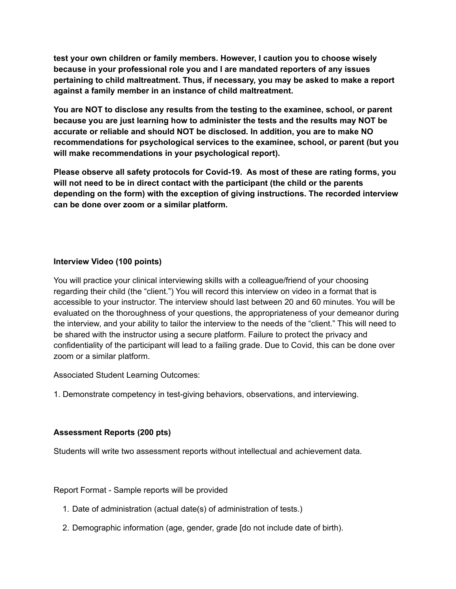**test your own children or family members. However, I caution you to choose wisely because in your professional role you and I are mandated reporters of any issues pertaining to child maltreatment. Thus, if necessary, you may be asked to make a report against a family member in an instance of child maltreatment.**

**You are NOT to disclose any results from the testing to the examinee, school, or parent because you are just learning how to administer the tests and the results may NOT be accurate or reliable and should NOT be disclosed. In addition, you are to make NO recommendations for psychological services to the examinee, school, or parent (but you will make recommendations in your psychological report).**

**Please observe all safety protocols for Covid-19. As most of these are rating forms, you will not need to be in direct contact with the participant (the child or the parents depending on the form) with the exception of giving instructions. The recorded interview can be done over zoom or a similar platform.**

#### **Interview Video (100 points)**

You will practice your clinical interviewing skills with a colleague/friend of your choosing regarding their child (the "client.") You will record this interview on video in a format that is accessible to your instructor. The interview should last between 20 and 60 minutes. You will be evaluated on the thoroughness of your questions, the appropriateness of your demeanor during the interview, and your ability to tailor the interview to the needs of the "client." This will need to be shared with the instructor using a secure platform. Failure to protect the privacy and confidentiality of the participant will lead to a failing grade. Due to Covid, this can be done over zoom or a similar platform.

Associated Student Learning Outcomes:

1. Demonstrate competency in test-giving behaviors, observations, and interviewing.

#### **Assessment Reports (200 pts)**

Students will write two assessment reports without intellectual and achievement data.

Report Format - Sample reports will be provided

- 1. Date of administration (actual date(s) of administration of tests.)
- 2. Demographic information (age, gender, grade [do not include date of birth).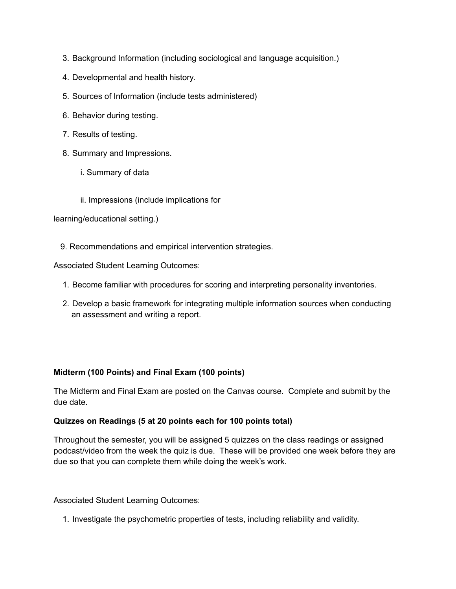- 3. Background Information (including sociological and language acquisition.)
- 4. Developmental and health history.
- 5. Sources of Information (include tests administered)
- 6. Behavior during testing.
- 7. Results of testing.
- 8. Summary and Impressions.
	- i. Summary of data
	- ii. Impressions (include implications for

learning/educational setting.)

9. Recommendations and empirical intervention strategies.

Associated Student Learning Outcomes:

- 1. Become familiar with procedures for scoring and interpreting personality inventories.
- 2. Develop a basic framework for integrating multiple information sources when conducting an assessment and writing a report.

#### **Midterm (100 Points) and Final Exam (100 points)**

The Midterm and Final Exam are posted on the Canvas course. Complete and submit by the due date.

#### **Quizzes on Readings (5 at 20 points each for 100 points total)**

Throughout the semester, you will be assigned 5 quizzes on the class readings or assigned podcast/video from the week the quiz is due. These will be provided one week before they are due so that you can complete them while doing the week's work.

Associated Student Learning Outcomes:

1. Investigate the psychometric properties of tests, including reliability and validity.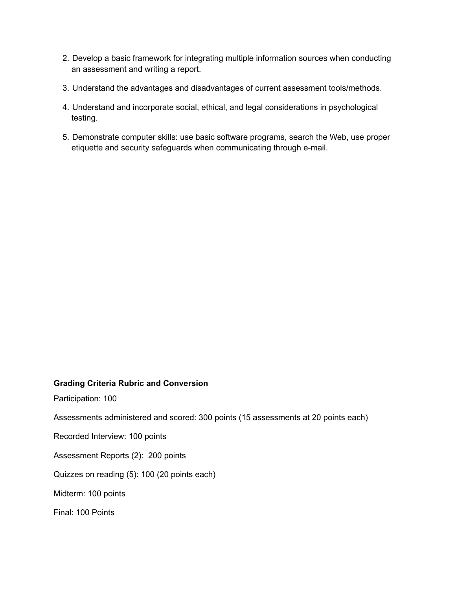- 2. Develop a basic framework for integrating multiple information sources when conducting an assessment and writing a report.
- 3. Understand the advantages and disadvantages of current assessment tools/methods.
- 4. Understand and incorporate social, ethical, and legal considerations in psychological testing.
- 5. Demonstrate computer skills: use basic software programs, search the Web, use proper etiquette and security safeguards when communicating through e-mail.

#### **Grading Criteria Rubric and Conversion**

Participation: 100

Assessments administered and scored: 300 points (15 assessments at 20 points each)

Recorded Interview: 100 points

Assessment Reports (2): 200 points

Quizzes on reading (5): 100 (20 points each)

Midterm: 100 points

Final: 100 Points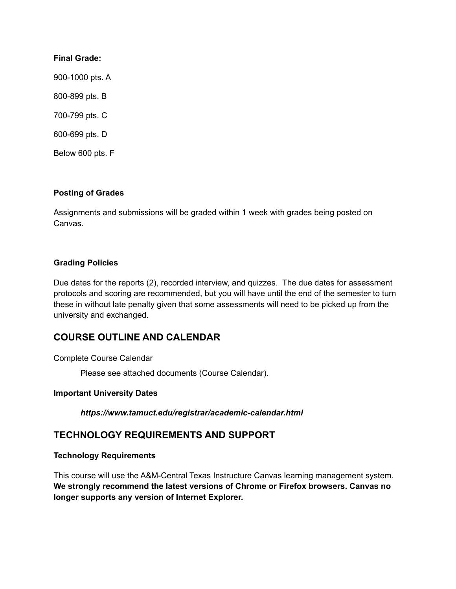#### **Final Grade:**

900-1000 pts. A

800-899 pts. B

700-799 pts. C

600-699 pts. D

Below 600 pts. F

#### **Posting of Grades**

Assignments and submissions will be graded within 1 week with grades being posted on Canvas.

#### **Grading Policies**

Due dates for the reports (2), recorded interview, and quizzes. The due dates for assessment protocols and scoring are recommended, but you will have until the end of the semester to turn these in without late penalty given that some assessments will need to be picked up from the university and exchanged.

## **COURSE OUTLINE AND CALENDAR**

Complete Course Calendar

Please see attached documents (Course Calendar).

#### **Important University Dates**

*https://www.tamuct.edu/registrar/academic-calendar.html*

## **TECHNOLOGY REQUIREMENTS AND SUPPORT**

#### **Technology Requirements**

This course will use the A&M-Central Texas Instructure Canvas learning management system. **We strongly recommend the latest versions of Chrome or Firefox browsers. Canvas no longer supports any version of Internet Explorer.**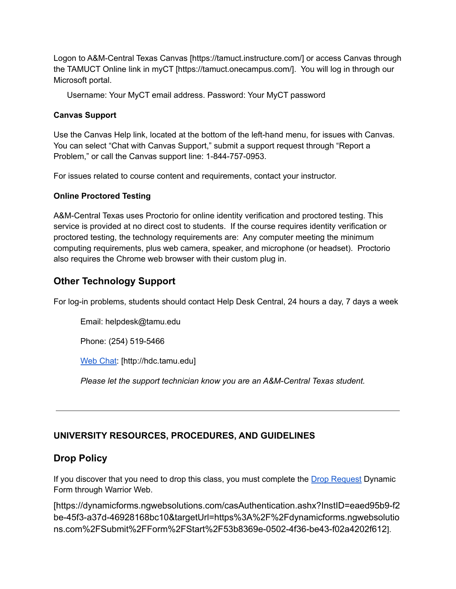Logon to A&M-Central Texas Canvas [https://tamuct.instructure.com/] or access Canvas through the TAMUCT Online link in myCT [https://tamuct.onecampus.com/]. You will log in through our Microsoft portal.

Username: Your MyCT email address. Password: Your MyCT password

#### **Canvas Support**

Use the Canvas Help link, located at the bottom of the left-hand menu, for issues with Canvas. You can select "Chat with Canvas Support," submit a support request through "Report a Problem," or call the Canvas support line: 1-844-757-0953.

For issues related to course content and requirements, contact your instructor.

#### **Online Proctored Testing**

A&M-Central Texas uses Proctorio for online identity verification and proctored testing. This service is provided at no direct cost to students. If the course requires identity verification or proctored testing, the technology requirements are: Any computer meeting the minimum computing requirements, plus web camera, speaker, and microphone (or headset). Proctorio also requires the Chrome web browser with their custom plug in.

## **Other Technology Support**

For log-in problems, students should contact Help Desk Central, 24 hours a day, 7 days a week

Email: helpdesk@tamu.edu

Phone: (254) 519-5466

Web [Chat:](http://hdc.tamu.edu/) [http://hdc.tamu.edu]

*Please let the support technician know you are an A&M-Central Texas student.*

## **UNIVERSITY RESOURCES, PROCEDURES, AND GUIDELINES**

## **Drop Policy**

If you discover that you need to drop this class, you must complete the Drop [Request](https://dynamicforms.ngwebsolutions.com/casAuthentication.ashx?InstID=eaed95b9-f2be-45f3-a37d-46928168bc10&targetUrl=https%3A%2F%2Fdynamicforms.ngwebsolutions.com%2FSubmit%2FForm%2FStart%2F53b8369e-0502-4f36-be43-f02a4202f612) Dynamic Form through Warrior Web.

[https://dynamicforms.ngwebsolutions.com/casAuthentication.ashx?InstID=eaed95b9-f2 be-45f3-a37d-46928168bc10&targetUrl=https%3A%2F%2Fdynamicforms.ngwebsolutio ns.com%2FSubmit%2FForm%2FStart%2F53b8369e-0502-4f36-be43-f02a4202f612].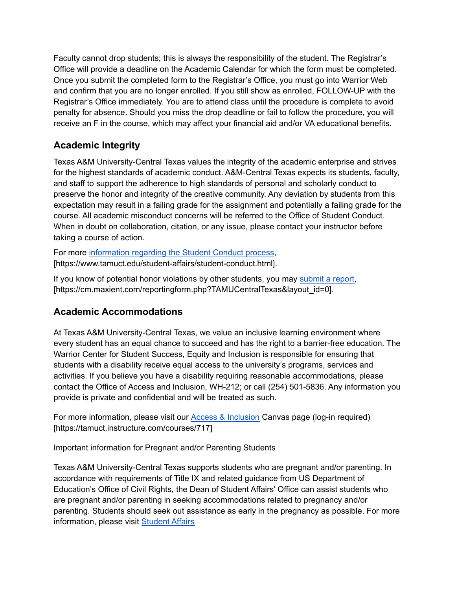Faculty cannot drop students; this is always the responsibility of the student. The Registrar's Office will provide a deadline on the Academic Calendar for which the form must be completed. Once you submit the completed form to the Registrar's Office, you must go into Warrior Web and confirm that you are no longer enrolled. If you still show as enrolled, FOLLOW-UP with the Registrar's Office immediately. You are to attend class until the procedure is complete to avoid penalty for absence. Should you miss the drop deadline or fail to follow the procedure, you will receive an F in the course, which may affect your financial aid and/or VA educational benefits.

# **Academic Integrity**

Texas A&M University-Central Texas values the integrity of the academic enterprise and strives for the highest standards of academic conduct. A&M-Central Texas expects its students, faculty, and staff to support the adherence to high standards of personal and scholarly conduct to preserve the honor and integrity of the creative community. Any deviation by students from this expectation may result in a failing grade for the assignment and potentially a failing grade for the course. All academic misconduct concerns will be referred to the Office of Student Conduct. When in doubt on collaboration, citation, or any issue, please contact your instructor before taking a course of action.

For more [information](https://nam04.safelinks.protection.outlook.com/?url=https%3A%2F%2Fwww.tamuct.edu%2Fstudent-affairs%2Fstudent-conduct.html&data=04%7C01%7Clisa.bunkowski%40tamuct.edu%7Ccfb6e486f24745f53e1a08d910055cb2%7C9eed4e3000f744849ff193ad8005acec%7C0%7C0%7C637558437485252160%7CUnknown%7CTWFpbGZsb3d8eyJWIjoiMC4wLjAwMDAiLCJQIjoiV2luMzIiLCJBTiI6Ik1haWwiLCJXVCI6Mn0%3D%7C1000&sdata=yjftDEVHvLX%2FhM%2FcFU0B99krV1RgEWR%2BJ%2BhvtoR6TYk%3D&reserved=0) regarding the Student Conduct process, [https://www.tamuct.edu/student-affairs/student-conduct.html].

If you know of potential honor violations by other students, you may [submit](https://nam04.safelinks.protection.outlook.com/?url=https%3A%2F%2Fcm.maxient.com%2Freportingform.php%3FTAMUCentralTexas%26layout_id%3D0&data=04%7C01%7Clisa.bunkowski%40tamuct.edu%7Ccfb6e486f24745f53e1a08d910055cb2%7C9eed4e3000f744849ff193ad8005acec%7C0%7C0%7C637558437485262157%7CUnknown%7CTWFpbGZsb3d8eyJWIjoiMC4wLjAwMDAiLCJQIjoiV2luMzIiLCJBTiI6Ik1haWwiLCJXVCI6Mn0%3D%7C1000&sdata=CXGkOa6uPDPX1IMZ87z3aZDq2n91xfHKu4MMS43Ejjk%3D&reserved=0) a report, [https://cm.maxient.com/reportingform.php?TAMUCentralTexas&layout\_id=0].

# **Academic Accommodations**

At Texas A&M University-Central Texas, we value an inclusive learning environment where every student has an equal chance to succeed and has the right to a barrier-free education. The Warrior Center for Student Success, Equity and Inclusion is responsible for ensuring that students with a disability receive equal access to the university's programs, services and activities. If you believe you have a disability requiring reasonable accommodations, please contact the Office of Access and Inclusion, WH-212; or call (254) 501-5836. Any information you provide is private and confidential and will be treated as such.

For more information, please visit our **Access & [Inclusion](https://tamuct.instructure.com/courses/717) Canvas page (log-in required)** [https://tamuct.instructure.com/courses/717]

Important information for Pregnant and/or Parenting Students

Texas A&M University-Central Texas supports students who are pregnant and/or parenting. In accordance with requirements of Title IX and related guidance from US Department of Education's Office of Civil Rights, the Dean of Student Affairs' Office can assist students who are pregnant and/or parenting in seeking accommodations related to pregnancy and/or parenting. Students should seek out assistance as early in the pregnancy as possible. For more information, please visit [Student](https://www.tamuct.edu/student-affairs/pregnant-and-parenting-students.html) Affairs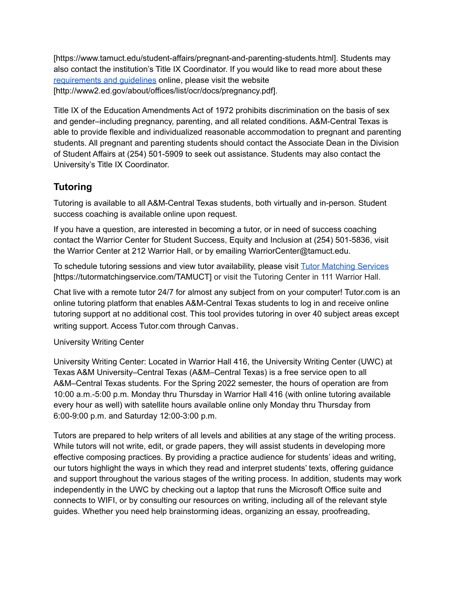[https://www.tamuct.edu/student-affairs/pregnant-and-parenting-students.html]. Students may also contact the institution's Title IX Coordinator. If you would like to read more about these [requirements](http://www2.ed.gov/about/offices/list/ocr/docs/pregnancy.pdf) and guidelines online, please visit the website [http://www2.ed.gov/about/offices/list/ocr/docs/pregnancy.pdf].

Title IX of the Education Amendments Act of 1972 prohibits discrimination on the basis of sex and gender–including pregnancy, parenting, and all related conditions. A&M-Central Texas is able to provide flexible and individualized reasonable accommodation to pregnant and parenting students. All pregnant and parenting students should contact the Associate Dean in the Division of Student Affairs at (254) 501-5909 to seek out assistance. Students may also contact the University's Title IX Coordinator.

# **Tutoring**

Tutoring is available to all A&M-Central Texas students, both virtually and in-person. Student success coaching is available online upon request.

If you have a question, are interested in becoming a tutor, or in need of success coaching contact the Warrior Center for Student Success, Equity and Inclusion at (254) 501-5836, visit the Warrior Center at 212 Warrior Hall, or by emailing WarriorCenter@tamuct.edu.

To schedule tutoring sessions and view tutor availability, please visit Tutor [Matching](https://nam04.safelinks.protection.outlook.com/?url=http%3A%2F%2Fwww.tutormatchingservices.com%2FTAMUCT&data=04%7C01%7Clisa.bunkowski%40tamuct.edu%7C886784139069461670c308d9aa01f55e%7C9eed4e3000f744849ff193ad8005acec%7C0%7C0%7C637727747643427346%7CUnknown%7CTWFpbGZsb3d8eyJWIjoiMC4wLjAwMDAiLCJQIjoiV2luMzIiLCJBTiI6Ik1haWwiLCJXVCI6Mn0%3D%7C3000&sdata=D%2F8HN2bUT1lLPfs5qSqKYlwh8a7pZVy7isM2gppluQE%3D&reserved=0) Services [https://tutormatchingservice.com/TAMUCT] or visit the Tutoring Center in 111 Warrior Hall.

Chat live with a remote tutor 24/7 for almost any subject from on your computer! Tutor.com is an online tutoring platform that enables A&M-Central Texas students to log in and receive online tutoring support at no additional cost. This tool provides tutoring in over 40 subject areas except writing support. Access Tutor.com through Canvas.

University Writing Center

University Writing Center: Located in Warrior Hall 416, the University Writing Center (UWC) at Texas A&M University–Central Texas (A&M–Central Texas) is a free service open to all A&M–Central Texas students. For the Spring 2022 semester, the hours of operation are from 10:00 a.m.-5:00 p.m. Monday thru Thursday in Warrior Hall 416 (with online tutoring available every hour as well) with satellite hours available online only Monday thru Thursday from 6:00-9:00 p.m. and Saturday 12:00-3:00 p.m.

Tutors are prepared to help writers of all levels and abilities at any stage of the writing process. While tutors will not write, edit, or grade papers, they will assist students in developing more effective composing practices. By providing a practice audience for students' ideas and writing, our tutors highlight the ways in which they read and interpret students' texts, offering guidance and support throughout the various stages of the writing process. In addition, students may work independently in the UWC by checking out a laptop that runs the Microsoft Office suite and connects to WIFI, or by consulting our resources on writing, including all of the relevant style guides. Whether you need help brainstorming ideas, organizing an essay, proofreading,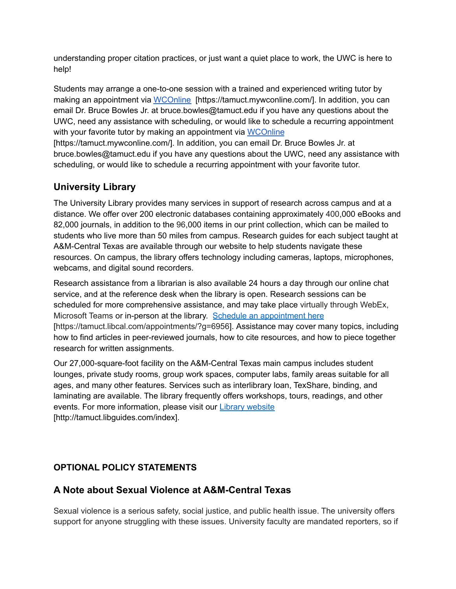understanding proper citation practices, or just want a quiet place to work, the UWC is here to help!

Students may arrange a one-to-one session with a trained and experienced writing tutor by making an appointment via [WCOnline](https://tamuct.mywconline.com/) [https://tamuct.mywconline.com/]. In addition, you can email Dr. Bruce Bowles Jr. at bruce.bowles@tamuct.edu if you have any questions about the UWC, need any assistance with scheduling, or would like to schedule a recurring appointment with your favorite tutor by making an appointment via [WCOnline](https://tamuct.mywconline.com/)

[https://tamuct.mywconline.com/]. In addition, you can email Dr. Bruce Bowles Jr. at bruce.bowles@tamuct.edu if you have any questions about the UWC, need any assistance with scheduling, or would like to schedule a recurring appointment with your favorite tutor.

# **University Library**

The University Library provides many services in support of research across campus and at a distance. We offer over 200 electronic databases containing approximately 400,000 eBooks and 82,000 journals, in addition to the 96,000 items in our print collection, which can be mailed to students who live more than 50 miles from campus. Research guides for each subject taught at A&M-Central Texas are available through our website to help students navigate these resources. On campus, the library offers technology including cameras, laptops, microphones, webcams, and digital sound recorders.

Research assistance from a librarian is also available 24 hours a day through our online chat service, and at the reference desk when the library is open. Research sessions can be scheduled for more comprehensive assistance, and may take place virtually through WebEx, Microsoft Teams or in-person at the library. Schedule an [appointment](https://nam04.safelinks.protection.outlook.com/?url=https%3A%2F%2Ftamuct.libcal.com%2Fappointments%2F%3Fg%3D6956&data=04%7C01%7Clisa.bunkowski%40tamuct.edu%7Cde2c07d9f5804f09518008d9ab7ba6ff%7C9eed4e3000f744849ff193ad8005acec%7C0%7C0%7C637729369835011558%7CUnknown%7CTWFpbGZsb3d8eyJWIjoiMC4wLjAwMDAiLCJQIjoiV2luMzIiLCJBTiI6Ik1haWwiLCJXVCI6Mn0%3D%7C3000&sdata=KhtjgRSAw9aq%2FoBsB6wyu8b7PSuGN5EGPypzr3Ty2No%3D&reserved=0) here [https://tamuct.libcal.com/appointments/?g=6956]. Assistance may cover many topics, including how to find articles in peer-reviewed journals, how to cite resources, and how to piece together research for written assignments.

Our 27,000-square-foot facility on the A&M-Central Texas main campus includes student lounges, private study rooms, group work spaces, computer labs, family areas suitable for all ages, and many other features. Services such as interlibrary loan, TexShare, binding, and laminating are available. The library frequently offers workshops, tours, readings, and other events. For more information, please visit our Library [website](https://nam04.safelinks.protection.outlook.com/?url=https%3A%2F%2Ftamuct.libguides.com%2Findex&data=04%7C01%7Clisa.bunkowski%40tamuct.edu%7C7d8489e8839a4915335f08d916f067f2%7C9eed4e3000f744849ff193ad8005acec%7C0%7C0%7C637566044056484222%7CUnknown%7CTWFpbGZsb3d8eyJWIjoiMC4wLjAwMDAiLCJQIjoiV2luMzIiLCJBTiI6Ik1haWwiLCJXVCI6Mn0%3D%7C1000&sdata=2R755V6rcIyedGrd4Os5rkgn1PvhHKU3kUV1vBKiHFo%3D&reserved=0) [http://tamuct.libguides.com/index].

## **OPTIONAL POLICY STATEMENTS**

## **A Note about Sexual Violence at A&M-Central Texas**

Sexual violence is a serious safety, social justice, and public health issue. The university offers support for anyone struggling with these issues. University faculty are mandated reporters, so if